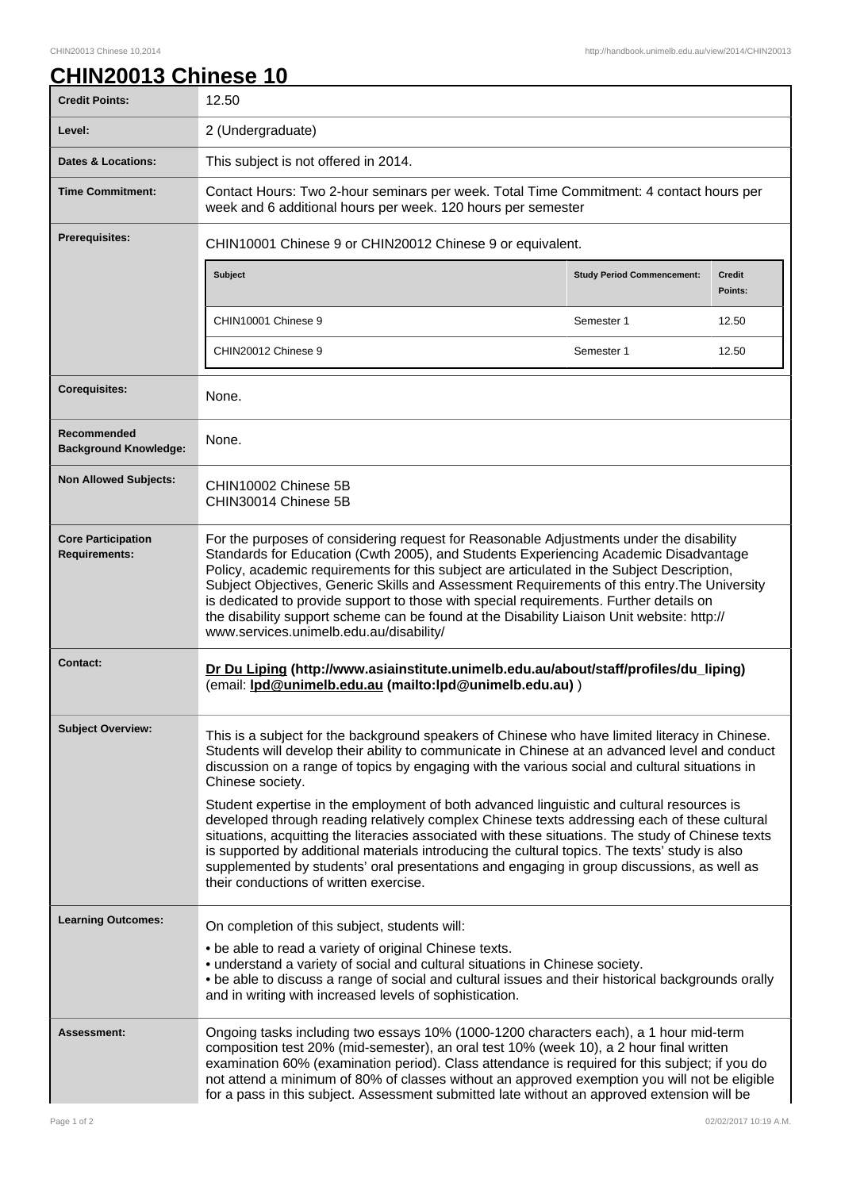## **CHIN20013 Chinese 10**

| <b>Credit Points:</b>                             | 12.50                                                                                                                                                                                                                                                                                                                                                                                                                                                                                                                                                                                                                                                                                                                                                                                                                                                               |                                   |                          |
|---------------------------------------------------|---------------------------------------------------------------------------------------------------------------------------------------------------------------------------------------------------------------------------------------------------------------------------------------------------------------------------------------------------------------------------------------------------------------------------------------------------------------------------------------------------------------------------------------------------------------------------------------------------------------------------------------------------------------------------------------------------------------------------------------------------------------------------------------------------------------------------------------------------------------------|-----------------------------------|--------------------------|
| Level:                                            | 2 (Undergraduate)                                                                                                                                                                                                                                                                                                                                                                                                                                                                                                                                                                                                                                                                                                                                                                                                                                                   |                                   |                          |
| <b>Dates &amp; Locations:</b>                     | This subject is not offered in 2014.                                                                                                                                                                                                                                                                                                                                                                                                                                                                                                                                                                                                                                                                                                                                                                                                                                |                                   |                          |
| <b>Time Commitment:</b>                           | Contact Hours: Two 2-hour seminars per week. Total Time Commitment: 4 contact hours per<br>week and 6 additional hours per week. 120 hours per semester                                                                                                                                                                                                                                                                                                                                                                                                                                                                                                                                                                                                                                                                                                             |                                   |                          |
| <b>Prerequisites:</b>                             | CHIN10001 Chinese 9 or CHIN20012 Chinese 9 or equivalent.                                                                                                                                                                                                                                                                                                                                                                                                                                                                                                                                                                                                                                                                                                                                                                                                           |                                   |                          |
|                                                   | Subject                                                                                                                                                                                                                                                                                                                                                                                                                                                                                                                                                                                                                                                                                                                                                                                                                                                             | <b>Study Period Commencement:</b> | <b>Credit</b><br>Points: |
|                                                   | CHIN10001 Chinese 9                                                                                                                                                                                                                                                                                                                                                                                                                                                                                                                                                                                                                                                                                                                                                                                                                                                 | Semester 1                        | 12.50                    |
|                                                   | CHIN20012 Chinese 9                                                                                                                                                                                                                                                                                                                                                                                                                                                                                                                                                                                                                                                                                                                                                                                                                                                 | Semester 1                        | 12.50                    |
| <b>Corequisites:</b>                              | None.                                                                                                                                                                                                                                                                                                                                                                                                                                                                                                                                                                                                                                                                                                                                                                                                                                                               |                                   |                          |
| Recommended<br><b>Background Knowledge:</b>       | None.                                                                                                                                                                                                                                                                                                                                                                                                                                                                                                                                                                                                                                                                                                                                                                                                                                                               |                                   |                          |
| <b>Non Allowed Subjects:</b>                      | CHIN10002 Chinese 5B<br>CHIN30014 Chinese 5B                                                                                                                                                                                                                                                                                                                                                                                                                                                                                                                                                                                                                                                                                                                                                                                                                        |                                   |                          |
| <b>Core Participation</b><br><b>Requirements:</b> | For the purposes of considering request for Reasonable Adjustments under the disability<br>Standards for Education (Cwth 2005), and Students Experiencing Academic Disadvantage<br>Policy, academic requirements for this subject are articulated in the Subject Description,<br>Subject Objectives, Generic Skills and Assessment Requirements of this entry. The University<br>is dedicated to provide support to those with special requirements. Further details on<br>the disability support scheme can be found at the Disability Liaison Unit website: http://<br>www.services.unimelb.edu.au/disability/                                                                                                                                                                                                                                                    |                                   |                          |
| <b>Contact:</b>                                   | Dr Du Liping (http://www.asiainstitute.unimelb.edu.au/about/staff/profiles/du_liping)<br>(email: lpd@unimelb.edu.au (mailto:lpd@unimelb.edu.au))                                                                                                                                                                                                                                                                                                                                                                                                                                                                                                                                                                                                                                                                                                                    |                                   |                          |
| <b>Subject Overview:</b>                          | This is a subject for the background speakers of Chinese who have limited literacy in Chinese.<br>Students will develop their ability to communicate in Chinese at an advanced level and conduct<br>discussion on a range of topics by engaging with the various social and cultural situations in<br>Chinese society.<br>Student expertise in the employment of both advanced linguistic and cultural resources is<br>developed through reading relatively complex Chinese texts addressing each of these cultural<br>situations, acquitting the literacies associated with these situations. The study of Chinese texts<br>is supported by additional materials introducing the cultural topics. The texts' study is also<br>supplemented by students' oral presentations and engaging in group discussions, as well as<br>their conductions of written exercise. |                                   |                          |
| <b>Learning Outcomes:</b>                         | On completion of this subject, students will:<br>• be able to read a variety of original Chinese texts.<br>• understand a variety of social and cultural situations in Chinese society.<br>. be able to discuss a range of social and cultural issues and their historical backgrounds orally<br>and in writing with increased levels of sophistication.                                                                                                                                                                                                                                                                                                                                                                                                                                                                                                            |                                   |                          |
| <b>Assessment:</b>                                | Ongoing tasks including two essays 10% (1000-1200 characters each), a 1 hour mid-term<br>composition test 20% (mid-semester), an oral test 10% (week 10), a 2 hour final written<br>examination 60% (examination period). Class attendance is required for this subject; if you do<br>not attend a minimum of 80% of classes without an approved exemption you will not be eligible<br>for a pass in this subject. Assessment submitted late without an approved extension will be                                                                                                                                                                                                                                                                                                                                                                                  |                                   |                          |